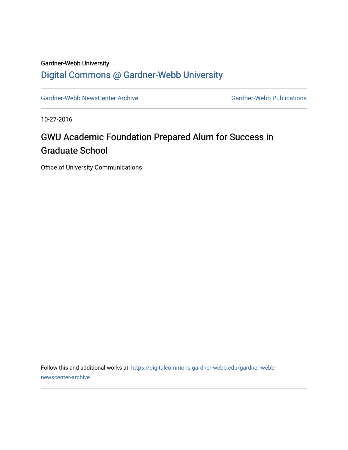## Gardner-Webb University

## [Digital Commons @ Gardner-Webb University](https://digitalcommons.gardner-webb.edu/)

[Gardner-Webb NewsCenter Archive](https://digitalcommons.gardner-webb.edu/gardner-webb-newscenter-archive) Gardner-Webb Publications

10-27-2016

## GWU Academic Foundation Prepared Alum for Success in Graduate School

Office of University Communications

Follow this and additional works at: [https://digitalcommons.gardner-webb.edu/gardner-webb](https://digitalcommons.gardner-webb.edu/gardner-webb-newscenter-archive?utm_source=digitalcommons.gardner-webb.edu%2Fgardner-webb-newscenter-archive%2F766&utm_medium=PDF&utm_campaign=PDFCoverPages)[newscenter-archive](https://digitalcommons.gardner-webb.edu/gardner-webb-newscenter-archive?utm_source=digitalcommons.gardner-webb.edu%2Fgardner-webb-newscenter-archive%2F766&utm_medium=PDF&utm_campaign=PDFCoverPages)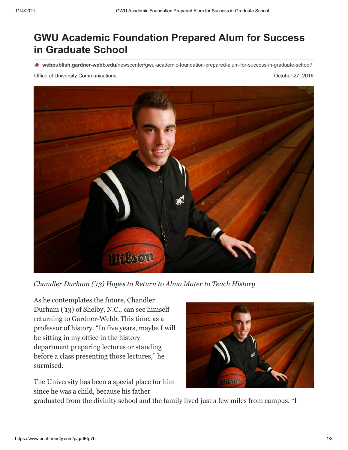## **GWU Academic Foundation Prepared Alum for Success in Graduate School**

**webpublish.gardner-webb.edu**[/newscenter/gwu-academic-foundation-prepared-alum-for-success-in-graduate-school/](https://webpublish.gardner-webb.edu/newscenter/gwu-academic-foundation-prepared-alum-for-success-in-graduate-school/)

Office of University Communications **October 27, 2016** 



*Chandler Durham ('13) Hopes to Return to Alma Mater to Teach History*

As he contemplates the future, Chandler Durham ('13) of Shelby, N.C., can see himself returning to Gardner-Webb. This time, as a professor of history. "In five years, maybe I will be sitting in my office in the history department preparing lectures or standing before a class presenting those lectures," he surmised.

The University has been a special place for him since he was a child, because his father



graduated from the divinity school and the family lived just a few miles from campus. "I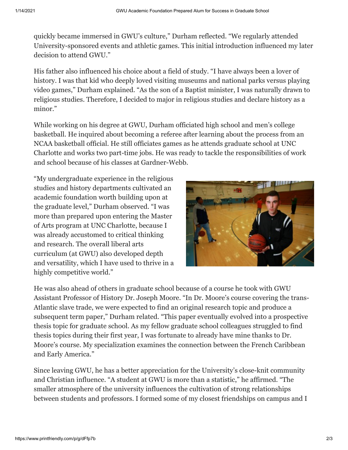quickly became immersed in GWU's culture," Durham reflected. "We regularly attended University-sponsored events and athletic games. This initial introduction influenced my later decision to attend GWU."

His father also influenced his choice about a field of study. "I have always been a lover of history. I was that kid who deeply loved visiting museums and national parks versus playing video games," Durham explained. "As the son of a Baptist minister, I was naturally drawn to religious studies. Therefore, I decided to major in religious studies and declare history as a minor."

While working on his degree at GWU, Durham officiated high school and men's college basketball. He inquired about becoming a referee after learning about the process from an NCAA basketball official. He still officiates games as he attends graduate school at UNC Charlotte and works two part-time jobs. He was ready to tackle the responsibilities of work and school because of his classes at Gardner-Webb.

"My undergraduate experience in the religious studies and history departments cultivated an academic foundation worth building upon at the graduate level," Durham observed. "I was more than prepared upon entering the Master of Arts program at UNC Charlotte, because I was already accustomed to critical thinking and research. The overall liberal arts curriculum (at GWU) also developed depth and versatility, which I have used to thrive in a highly competitive world."



He was also ahead of others in graduate school because of a course he took with GWU Assistant Professor of History Dr. Joseph Moore. "In Dr. Moore's course covering the trans-Atlantic slave trade, we were expected to find an original research topic and produce a subsequent term paper," Durham related. "This paper eventually evolved into a prospective thesis topic for graduate school. As my fellow graduate school colleagues struggled to find thesis topics during their first year, I was fortunate to already have mine thanks to Dr. Moore's course. My specialization examines the connection between the French Caribbean and Early America."

Since leaving GWU, he has a better appreciation for the University's close-knit community and Christian influence. "A student at GWU is more than a statistic," he affirmed. "The smaller atmosphere of the university influences the cultivation of strong relationships between students and professors. I formed some of my closest friendships on campus and I